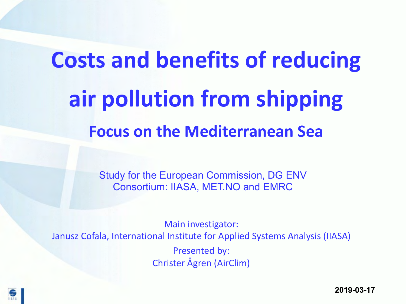# **Costs and benefits of reducing air pollution from shipping Focus on the Mediterranean Sea**

Study for the European Commission, DG ENV Consortium: IIASA, MET.NO and EMRC

Main investigator: Janusz Cofala, International Institute for Applied Systems Analysis (IIASA) Presented by: Christer Ågren (AirClim)



**2019-03-17**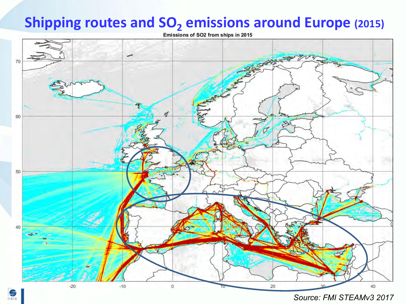# **Shipping routes and SO<sub>2</sub> emissions around Europe (2015)**<br>Emissions of SO2 from ships in 2015



*Source: FMI STEAMv3 2017*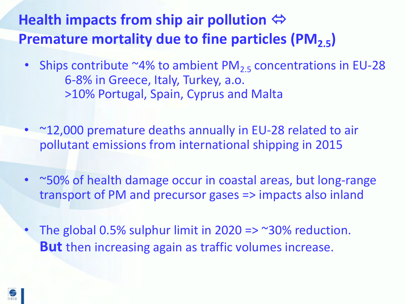# **Health impacts from ship air pollution**  $\Leftrightarrow$ **Premature mortality due to fine particles (PM<sub>2.5</sub>)**

- Ships contribute  $^{\sim}4\%$  to ambient PM<sub>2.5</sub> concentrations in EU-28 6-8% in Greece, Italy, Turkey, a.o. >10% Portugal, Spain, Cyprus and Malta
- ~12,000 premature deaths annually in EU-28 related to air pollutant emissions from international shipping in 2015
- ~50% of health damage occur in coastal areas, but long-range transport of PM and precursor gases => impacts also inland
- The global 0.5% sulphur limit in 2020 =>  $\sim$  30% reduction. **But** then increasing again as traffic volumes increase.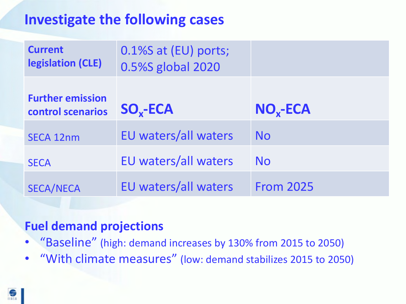### **Investigate the following cases**

| <b>Current</b><br>legislation (CLE)          | 0.1%S at (EU) ports;<br>0.5%S global 2020 |                  |
|----------------------------------------------|-------------------------------------------|------------------|
| <b>Further emission</b><br>control scenarios | $SO_{x}$ -ECA                             | $NOx$ -ECA       |
| <b>SECA 12nm</b>                             | <b>EU waters/all waters</b>               | <b>No</b>        |
| <b>SECA</b>                                  | EU waters/all waters                      | No.              |
| <b>SECA/NECA</b>                             | <b>EU waters/all waters</b>               | <b>From 2025</b> |

#### **Fuel demand projections**

- "Baseline" (high: demand increases by 130% from 2015 to 2050)
- "With climate measures" (low: demand stabilizes 2015 to 2050)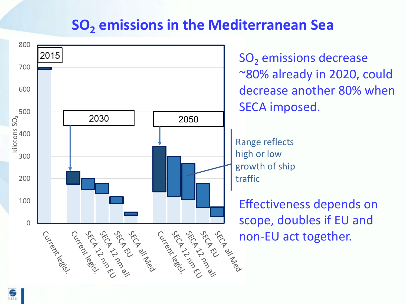#### **SO<sub>2</sub>** emissions in the Mediterranean Sea



魚

 $SO<sub>2</sub>$  emissions decrease ~80% already in 2020, could decrease another 80% when SECA imposed.

Range reflects high or low growth of ship traffic

Effectiveness depends on scope, doubles if EU and  $\frac{m_{\text{B}}}{m_{\text{B}}}\frac{m_{\text{B}}}{m_{\text{B}}}\text{.}$  non-EU act together.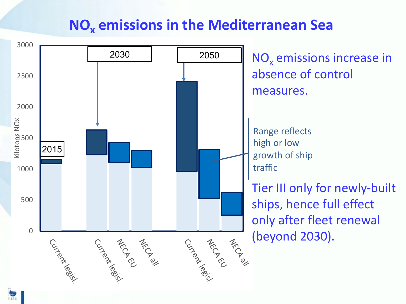#### **NOx emissions in the Mediterranean Sea**

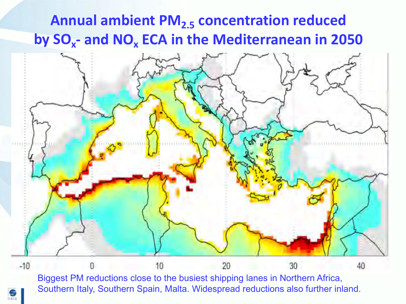# **Annual ambient PM2.5 concentration reduced by SOx- and NOx ECA in the Mediterranean in 2050**



Southern Italy, Southern Spain, Malta. Widespread reductions also further inland.

金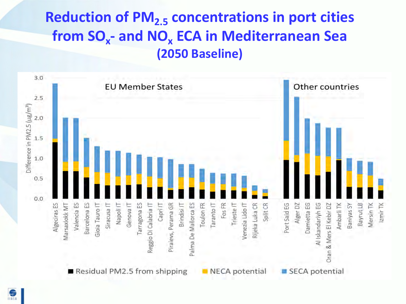# **Reduction of PM<sub>2.5</sub> concentrations in port cities from SOx- and NOx ECA in Mediterranean Sea (2050 Baseline)**

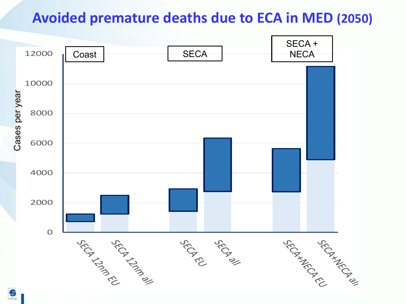#### **Avoided premature deaths due to ECA in MED (2050)**

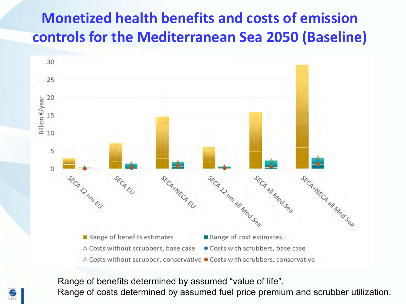# **Monetized health benefits and costs of emission controls for the Mediterranean Sea 2050 (Baseline)**



Range of benefits determined by assumed "value of life". Range of costs determined by assumed fuel price premium and scrubber utilization.

金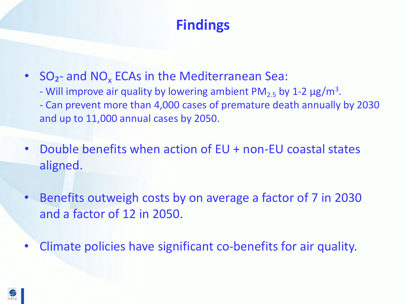# **Findings**

• SO<sub>2</sub>- and NO<sub>x</sub> ECAs in the Mediterranean Sea: - Will improve air quality by lowering ambient  $PM_{2.5}$  by 1-2  $\mu$ g/m<sup>3</sup>. - Can prevent more than 4,000 cases of premature death annually by 2030 and up to 11,000 annual cases by 2050.

- Double benefits when action of EU + non-EU coastal states aligned.
- Benefits outweigh costs by on average a factor of 7 in 2030 and a factor of 12 in 2050.
- Climate policies have significant co-benefits for air quality.